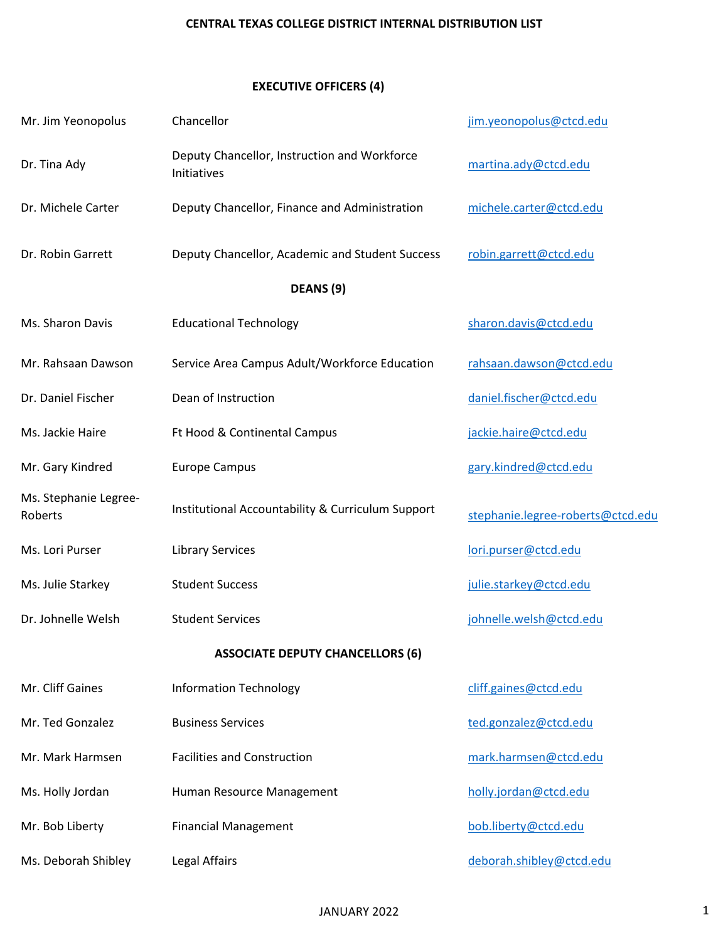# **EXECUTIVE OFFICERS (4)**

| Mr. Jim Yeonopolus               | Chancellor                                                  | jim.yeonopolus@ctcd.edu           |
|----------------------------------|-------------------------------------------------------------|-----------------------------------|
| Dr. Tina Ady                     | Deputy Chancellor, Instruction and Workforce<br>Initiatives | martina.ady@ctcd.edu              |
| Dr. Michele Carter               | Deputy Chancellor, Finance and Administration               | michele.carter@ctcd.edu           |
| Dr. Robin Garrett                | Deputy Chancellor, Academic and Student Success             | robin.garrett@ctcd.edu            |
|                                  | DEANS (9)                                                   |                                   |
| Ms. Sharon Davis                 | <b>Educational Technology</b>                               | sharon.davis@ctcd.edu             |
| Mr. Rahsaan Dawson               | Service Area Campus Adult/Workforce Education               | rahsaan.dawson@ctcd.edu           |
| Dr. Daniel Fischer               | Dean of Instruction                                         | daniel.fischer@ctcd.edu           |
| Ms. Jackie Haire                 | Ft Hood & Continental Campus                                | jackie.haire@ctcd.edu             |
| Mr. Gary Kindred                 | <b>Europe Campus</b>                                        | gary.kindred@ctcd.edu             |
| Ms. Stephanie Legree-<br>Roberts | Institutional Accountability & Curriculum Support           | stephanie.legree-roberts@ctcd.edu |
| Ms. Lori Purser                  | <b>Library Services</b>                                     | lori.purser@ctcd.edu              |
| Ms. Julie Starkey                | <b>Student Success</b>                                      | julie.starkey@ctcd.edu            |
| Dr. Johnelle Welsh               | <b>Student Services</b>                                     | johnelle.welsh@ctcd.edu           |
|                                  | <b>ASSOCIATE DEPUTY CHANCELLORS (6)</b>                     |                                   |
| Mr. Cliff Gaines                 | <b>Information Technology</b>                               | cliff.gaines@ctcd.edu             |
| Mr. Ted Gonzalez                 | <b>Business Services</b>                                    | ted.gonzalez@ctcd.edu             |
| Mr. Mark Harmsen                 | <b>Facilities and Construction</b>                          | mark.harmsen@ctcd.edu             |
| Ms. Holly Jordan                 | Human Resource Management                                   | holly.jordan@ctcd.edu             |
| Mr. Bob Liberty                  | <b>Financial Management</b>                                 | bob.liberty@ctcd.edu              |
| Ms. Deborah Shibley              | Legal Affairs                                               | deborah.shibley@ctcd.edu          |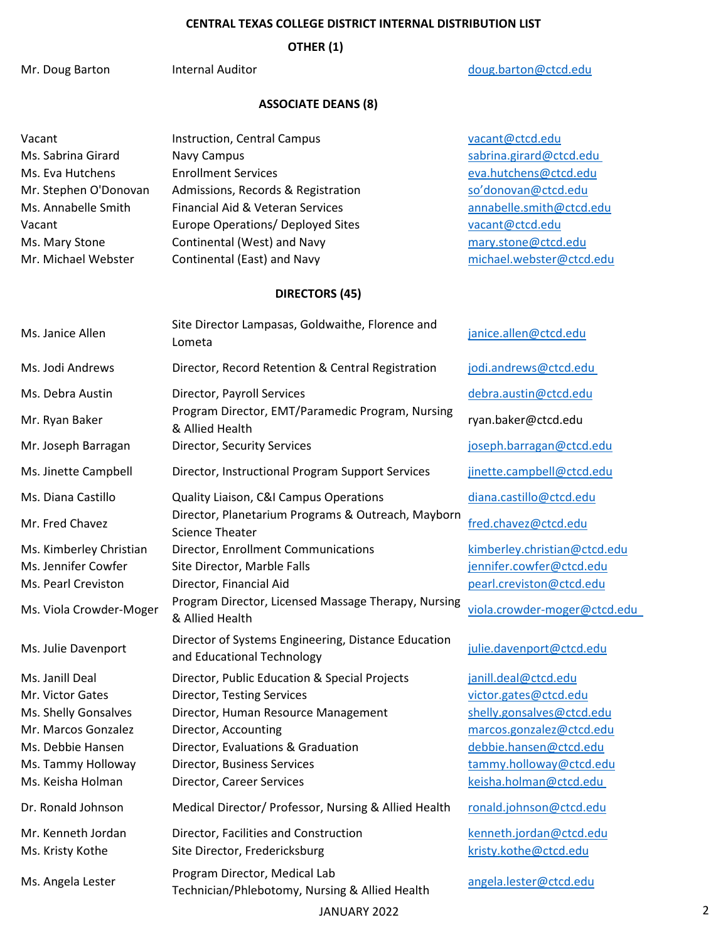**OTHER (1)**

Mr. Doug Barton Internal Auditor [doug.barton@ctcd.edu](mailto:doug.barton@ctcd.edu)

# **ASSOCIATE DEANS (8)**

| Vacant                  | Instruction, Central Campus                                                       | vacant@ctcd.edu              |
|-------------------------|-----------------------------------------------------------------------------------|------------------------------|
| Ms. Sabrina Girard      | Navy Campus                                                                       | sabrina.girard@ctcd.edu      |
| Ms. Eva Hutchens        | <b>Enrollment Services</b>                                                        | eva.hutchens@ctcd.edu        |
| Mr. Stephen O'Donovan   | Admissions, Records & Registration                                                | so'donovan@ctcd.edu          |
| Ms. Annabelle Smith     | Financial Aid & Veteran Services                                                  | annabelle.smith@ctcd.edu     |
| Vacant                  | Europe Operations/ Deployed Sites                                                 | vacant@ctcd.edu              |
| Ms. Mary Stone          | Continental (West) and Navy                                                       | mary.stone@ctcd.edu          |
| Mr. Michael Webster     | Continental (East) and Navy                                                       | michael.webster@ctcd.edu     |
|                         | <b>DIRECTORS (45)</b>                                                             |                              |
| Ms. Janice Allen        | Site Director Lampasas, Goldwaithe, Florence and<br>Lometa                        | janice.allen@ctcd.edu        |
| Ms. Jodi Andrews        | Director, Record Retention & Central Registration                                 | jodi.andrews@ctcd.edu        |
| Ms. Debra Austin        | Director, Payroll Services                                                        | debra.austin@ctcd.edu        |
| Mr. Ryan Baker          | Program Director, EMT/Paramedic Program, Nursing<br>& Allied Health               | ryan.baker@ctcd.edu          |
| Mr. Joseph Barragan     | Director, Security Services                                                       | joseph.barragan@ctcd.edu     |
| Ms. Jinette Campbell    | Director, Instructional Program Support Services                                  | jinette.campbell@ctcd.edu    |
| Ms. Diana Castillo      | Quality Liaison, C&I Campus Operations                                            | diana.castillo@ctcd.edu      |
| Mr. Fred Chavez         | Director, Planetarium Programs & Outreach, Mayborn<br><b>Science Theater</b>      | fred.chavez@ctcd.edu         |
| Ms. Kimberley Christian | Director, Enrollment Communications                                               | kimberley.christian@ctcd.edu |
| Ms. Jennifer Cowfer     | Site Director, Marble Falls                                                       | jennifer.cowfer@ctcd.edu     |
| Ms. Pearl Creviston     | Director, Financial Aid                                                           | pearl.creviston@ctcd.edu     |
| Ms. Viola Crowder-Moger | Program Director, Licensed Massage Therapy, Nursing<br>& Allied Health            | viola.crowder-moger@ctcd.edu |
| Ms. Julie Davenport     | Director of Systems Engineering, Distance Education<br>and Educational Technology | julie.davenport@ctcd.edu     |
| Ms. Janill Deal         | Director, Public Education & Special Projects                                     | janill.deal@ctcd.edu         |
| Mr. Victor Gates        | Director, Testing Services                                                        | victor.gates@ctcd.edu        |
| Ms. Shelly Gonsalves    | Director, Human Resource Management                                               | shelly.gonsalves@ctcd.edu    |
| Mr. Marcos Gonzalez     | Director, Accounting                                                              | marcos.gonzalez@ctcd.edu     |
| Ms. Debbie Hansen       | Director, Evaluations & Graduation                                                | debbie.hansen@ctcd.edu       |
| Ms. Tammy Holloway      | Director, Business Services                                                       | tammy.holloway@ctcd.edu      |
| Ms. Keisha Holman       | Director, Career Services                                                         | keisha.holman@ctcd.edu       |
| Dr. Ronald Johnson      | Medical Director/ Professor, Nursing & Allied Health                              | ronald.johnson@ctcd.edu      |
| Mr. Kenneth Jordan      | Director, Facilities and Construction                                             | kenneth.jordan@ctcd.edu      |
| Ms. Kristy Kothe        | Site Director, Fredericksburg                                                     | kristy.kothe@ctcd.edu        |
| Ms. Angela Lester       | Program Director, Medical Lab<br>Technician/Phlebotomy, Nursing & Allied Health   | angela.lester@ctcd.edu       |

JANUARY 2022 2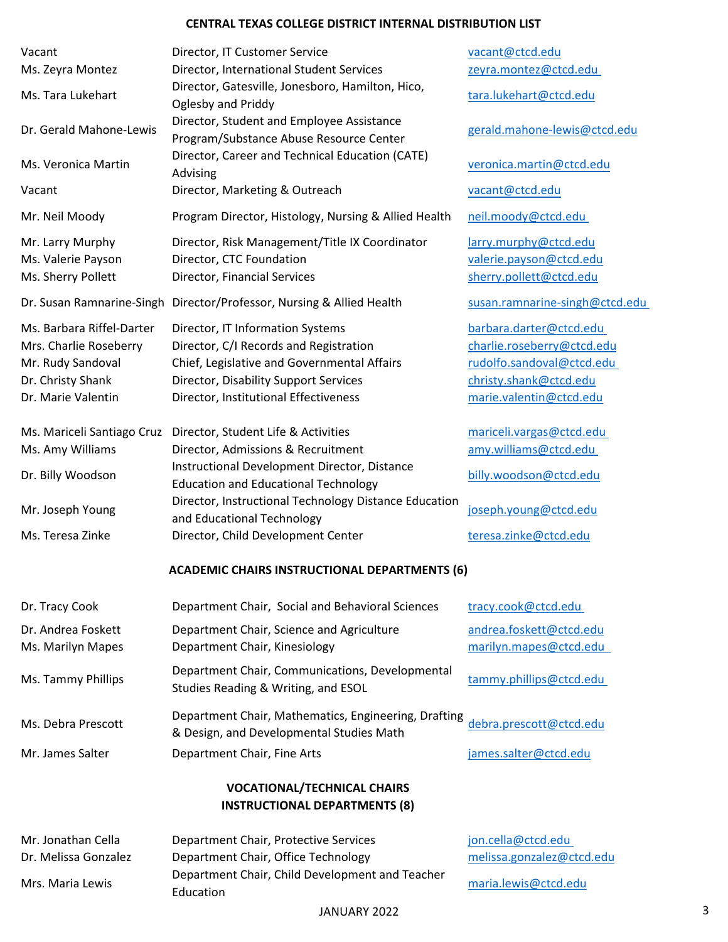| Vacant<br>Ms. Zeyra Montez                                                                                          | Director, IT Customer Service<br>Director, International Student Services                                                                                                                                   | vacant@ctcd.edu<br>zeyra.montez@ctcd.edu                                                                                                |
|---------------------------------------------------------------------------------------------------------------------|-------------------------------------------------------------------------------------------------------------------------------------------------------------------------------------------------------------|-----------------------------------------------------------------------------------------------------------------------------------------|
| Ms. Tara Lukehart                                                                                                   | Director, Gatesville, Jonesboro, Hamilton, Hico,<br>Oglesby and Priddy                                                                                                                                      | tara.lukehart@ctcd.edu                                                                                                                  |
| Dr. Gerald Mahone-Lewis                                                                                             | Director, Student and Employee Assistance<br>Program/Substance Abuse Resource Center                                                                                                                        | gerald.mahone-lewis@ctcd.edu                                                                                                            |
| Ms. Veronica Martin                                                                                                 | Director, Career and Technical Education (CATE)<br>Advising                                                                                                                                                 | veronica.martin@ctcd.edu                                                                                                                |
| Vacant                                                                                                              | Director, Marketing & Outreach                                                                                                                                                                              | vacant@ctcd.edu                                                                                                                         |
| Mr. Neil Moody                                                                                                      | Program Director, Histology, Nursing & Allied Health                                                                                                                                                        | neil.moody@ctcd.edu                                                                                                                     |
| Mr. Larry Murphy<br>Ms. Valerie Payson<br>Ms. Sherry Pollett                                                        | Director, Risk Management/Title IX Coordinator<br>Director, CTC Foundation<br>Director, Financial Services                                                                                                  | larry.murphy@ctcd.edu<br>valerie.payson@ctcd.edu<br>sherry.pollett@ctcd.edu                                                             |
|                                                                                                                     | Dr. Susan Ramnarine-Singh Director/Professor, Nursing & Allied Health                                                                                                                                       | susan.ramnarine-singh@ctcd.edu                                                                                                          |
| Ms. Barbara Riffel-Darter<br>Mrs. Charlie Roseberry<br>Mr. Rudy Sandoval<br>Dr. Christy Shank<br>Dr. Marie Valentin | Director, IT Information Systems<br>Director, C/I Records and Registration<br>Chief, Legislative and Governmental Affairs<br>Director, Disability Support Services<br>Director, Institutional Effectiveness | barbara.darter@ctcd.edu<br>charlie.roseberry@ctcd.edu<br>rudolfo.sandoval@ctcd.edu<br>christy.shank@ctcd.edu<br>marie.valentin@ctcd.edu |
| Ms. Mariceli Santiago Cruz<br>Ms. Amy Williams                                                                      | Director, Student Life & Activities<br>Director, Admissions & Recruitment                                                                                                                                   | mariceli.vargas@ctcd.edu<br>amy.williams@ctcd.edu                                                                                       |
| Dr. Billy Woodson                                                                                                   | Instructional Development Director, Distance<br><b>Education and Educational Technology</b>                                                                                                                 | billy.woodson@ctcd.edu                                                                                                                  |
| Mr. Joseph Young                                                                                                    | Director, Instructional Technology Distance Education<br>and Educational Technology                                                                                                                         | joseph.young@ctcd.edu                                                                                                                   |
| Ms. Teresa Zinke                                                                                                    | Director, Child Development Center                                                                                                                                                                          | teresa.zinke@ctcd.edu                                                                                                                   |
|                                                                                                                     | <b>ACADEMIC CHAIRS INSTRUCTIONAL DEPARTMENTS (6)</b>                                                                                                                                                        |                                                                                                                                         |
| Dr. Tracy Cook                                                                                                      | Department Chair, Social and Behavioral Sciences                                                                                                                                                            | tracy.cook@ctcd.edu                                                                                                                     |
| Dr. Andrea Foskett<br>Ms. Marilyn Mapes                                                                             | Department Chair, Science and Agriculture<br>Department Chair, Kinesiology                                                                                                                                  | andrea.foskett@ctcd.edu<br>marilyn.mapes@ctcd.edu                                                                                       |
| Ms. Tammy Phillips                                                                                                  | Department Chair, Communications, Developmental<br>Studies Reading & Writing, and ESOL                                                                                                                      | tammy.phillips@ctcd.edu                                                                                                                 |
| Ms. Debra Prescott                                                                                                  | Department Chair, Mathematics, Engineering, Drafting<br>& Design, and Developmental Studies Math                                                                                                            | debra.prescott@ctcd.edu                                                                                                                 |
| Mr. James Salter                                                                                                    | Department Chair, Fine Arts                                                                                                                                                                                 | james.salter@ctcd.edu                                                                                                                   |
| <b>VOCATIONAL/TECHNICAL CHAIRS</b><br><b>INSTRUCTIONAL DEPARTMENTS (8)</b>                                          |                                                                                                                                                                                                             |                                                                                                                                         |
| Mr. Jonathan Cella<br>Dr. Melissa Gonzalez                                                                          | Department Chair, Protective Services<br>Department Chair, Office Technology                                                                                                                                | jon.cella@ctcd.edu<br>melissa.gonzalez@ctcd.edu                                                                                         |
| Mrs. Maria Lewis                                                                                                    | Department Chair, Child Development and Teacher<br>Education                                                                                                                                                | maria.lewis@ctcd.edu                                                                                                                    |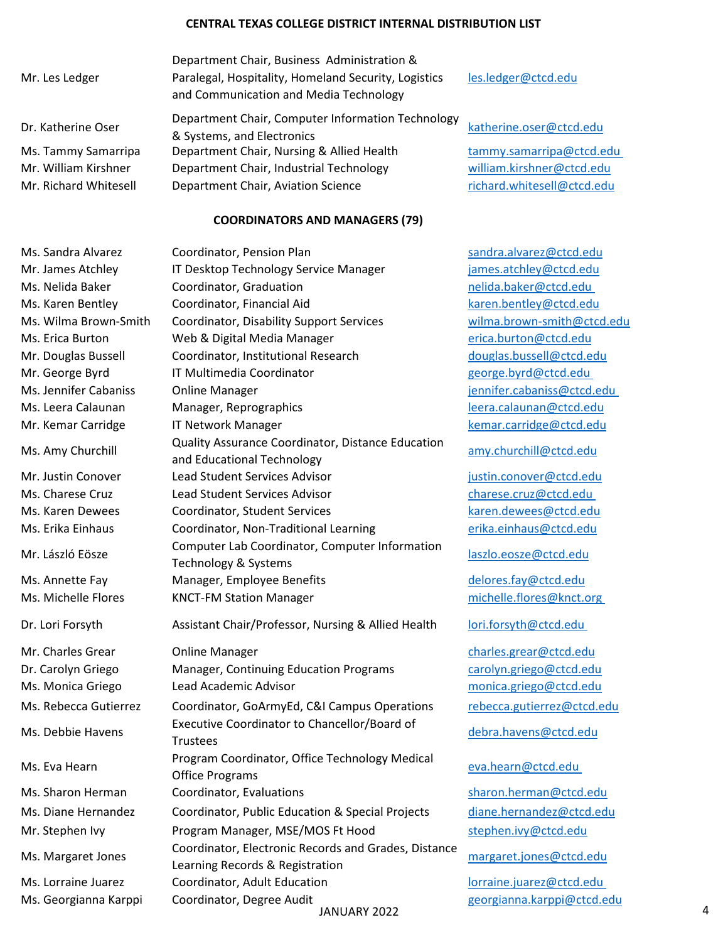|                       | Department Chair, Business Administration &                                                    |                            |
|-----------------------|------------------------------------------------------------------------------------------------|----------------------------|
| Mr. Les Ledger        | Paralegal, Hospitality, Homeland Security, Logistics<br>and Communication and Media Technology | les.ledger@ctcd.edu        |
| Dr. Katherine Oser    | Department Chair, Computer Information Technology<br>& Systems, and Electronics                | katherine.oser@ctcd.edu    |
| Ms. Tammy Samarripa   | Department Chair, Nursing & Allied Health                                                      | tammy.samarripa@ctcd.edu   |
| Mr. William Kirshner  | Department Chair, Industrial Technology                                                        | william.kirshner@ctcd.edu  |
| Mr. Richard Whitesell | Department Chair, Aviation Science                                                             | richard.whitesell@ctcd.edu |
|                       | COODDINIATODC ANID BAANIA CEDC (70)                                                            |                            |

## **COORDINATORS AND MANAGERS (79)**

Ms. Sandra Alvarez Coordinator, Pension Plan Sandra.alvarez@ctcd.edu Mr. James Atchley IT Desktop Technology Service Manager [james.atchley@ctcd.edu](mailto:james.atchley@ctcd.edu) Ms. Nelida Baker Coordinator, Graduation nelida.baker@ctcd.edu Ms. Karen Bentley Coordinator, Financial Aid [karen.bentley@ctcd.edu](mailto:karen.bentley@ctcd.edu) Ms. Wilma Brown-Smith Coordinator, Disability Support Services [wilma.brown-smith@ctcd.edu](mailto:wilma.brown-smith@ctcd.edu) Ms. Erica Burton **Web & Digital Media Manager** [erica.burton@ctcd.edu](mailto:erica.burton@ctcd.edu) Mr. Douglas Bussell Coordinator, Institutional Research [douglas.bussell@ctcd.edu](mailto:Douglas.Bussell@ctcd.edu) Mr. George Byrd IT Multimedia Coordinator and a george.byrd@ctcd.edu Ms. Jennifer Cabaniss Online Manager [jennifer.cabaniss@ctcd.edu](mailto:Jennifer.cabaniss@ctcd.edu)  Ms. Leera Calaunan Manager, Reprographics [leera.calaunan@ctcd.edu](mailto:leera.calaunan@ctcd.edu) Mr. Kemar Carridge TT Network Manager and the semanagement of the semanagement of the semanagement of the semanagement of the semanagement of the semanagement of the semanagement of the semanagement of the semanagement of Ms. Amy Churchill Quality Assurance Coordinator, Distance Education and Educational Technology and Educational Technology Mr. Justin Conover Lead Student Services Advisor in the student services and pustin.conover@ctcd.edu Ms. Charese Cruz Lead Student Services Advisor [charese.cruz@ctcd.edu](mailto:charese.cruz@ctcd.edu)  Ms. Karen Dewees Coordinator, Student Services [karen.dewees@ctcd.edu](mailto:karen.dewees@ctcd.edu) Ms. Erika Einhaus Coordinator, Non-Traditional Learning [erika.einhaus@ctcd.edu](mailto:erika.einhaus@ctcd.edu) Mr. László Eösze Computer Lab Coordinator, Computer Information Technology & Systems<br>Technology & Systems Ms. Annette Fay Manager, Employee Benefits [delores.fay@ctcd.edu](mailto:delores.fay@ctcd.edu) Ms. Michelle Flores KNCT-FM Station Manager michelle.flores@knct.org Dr. Lori Forsyth Assistant Chair/Professor, Nursing & Allied Health lori.forsyth@ctcd.edu Mr. Charles Grear Conline Manager [charles.grear@ctcd.edu](mailto:Charles.grear@ctcd.edu) Dr. Carolyn Griego Manager, Continuing Education Programs [carolyn.griego@ctcd.edu](mailto:carolyn.griego@ctcd.edu) Ms. Monica Griego Lead Academic Advisor [monica.griego@ctcd.edu](mailto:monica.griego@ctcd.edu) Ms. Rebecca Gutierrez Coordinator, GoArmyEd, C&I Campus Operations [rebecca.gutierrez@ctcd.edu](mailto:rebecca.gutierrez@ctcd.edu) Ms. Debbie Havens Executive Coordinator to Chancellor/Board of Ms. Eva Hearn **Program Coordinator, Office Technology Medical**<br>Office Programs Ms. Sharon Herman Coordinator, Evaluations [sharon.herman@ctcd.edu](mailto:sharon.herman@ctcd.edu) Ms. Diane Hernandez Coordinator, Public Education & Special Projects [diane.hernandez@ctcd.edu](mailto:diane.hernandez@ctcd.edu) Mr. Stephen Ivy **Program Manager, MSE/MOS Ft Hood** [stephen.ivy@ctcd.edu](mailto:stephen.ivy@ctcd.edu) Ms. Margaret Jones Coordinator, Electronic Records and Grades, Distance Learning Records & Registration Ms. Lorraine Juarez Coordinator, Adult Education lorraine.juarez@ctcd.edu

[debra.havens@ctcd.edu](mailto:debra.havens@ctcd.edu)

eva.hearn@ctcd.edu

JANUARY 2022 4 Ms. Georgianna Karppi Coordinator, Degree Audit and the second [georgianna.karppi@ctcd.edu](mailto:georgianna.karppi@ctcd.edu)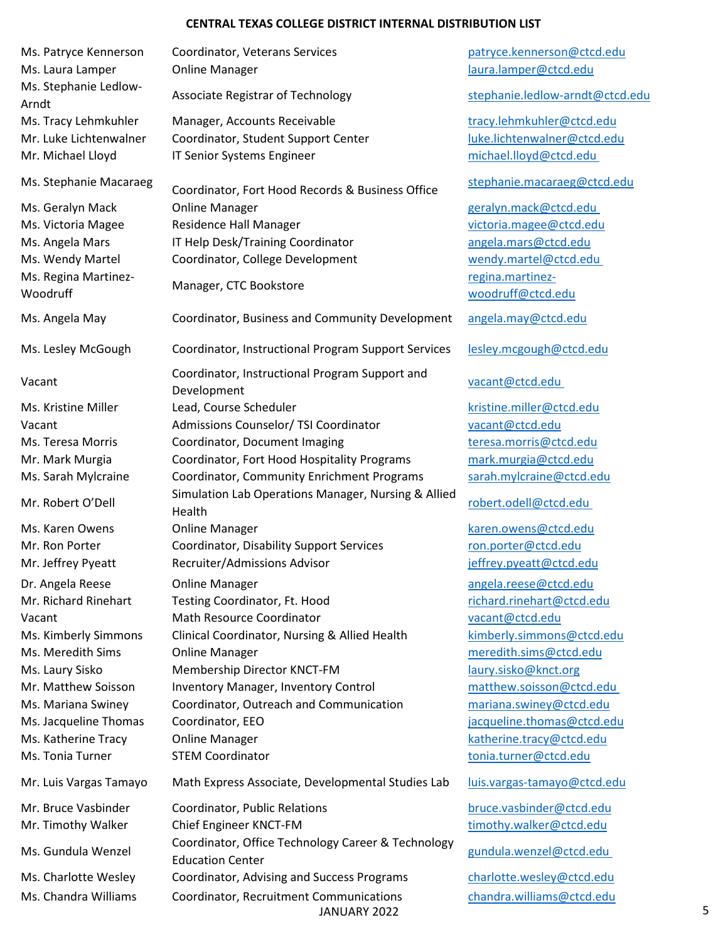| Ms. Patryce Kennerson          | Coordinator, Veterans Services                                | patryce.kennerson@ctcd.edu      |   |
|--------------------------------|---------------------------------------------------------------|---------------------------------|---|
| Ms. Laura Lamper               | <b>Online Manager</b>                                         | laura.lamper@ctcd.edu           |   |
| Ms. Stephanie Ledlow-<br>Arndt | Associate Registrar of Technology                             | stephanie.ledlow-arndt@ctcd.edu |   |
| Ms. Tracy Lehmkuhler           | Manager, Accounts Receivable                                  | tracy.lehmkuhler@ctcd.edu       |   |
| Mr. Luke Lichtenwalner         | Coordinator, Student Support Center                           | luke.lichtenwalner@ctcd.edu     |   |
| Mr. Michael Lloyd              | IT Senior Systems Engineer                                    | michael.lloyd@ctcd.edu          |   |
| Ms. Stephanie Macaraeg         | Coordinator, Fort Hood Records & Business Office              | stephanie.macaraeg@ctcd.edu     |   |
| Ms. Geralyn Mack               | <b>Online Manager</b>                                         | geralyn.mack@ctcd.edu           |   |
| Ms. Victoria Magee             | <b>Residence Hall Manager</b>                                 | victoria.magee@ctcd.edu         |   |
| Ms. Angela Mars                | IT Help Desk/Training Coordinator                             | angela.mars@ctcd.edu            |   |
| Ms. Wendy Martel               | Coordinator, College Development                              | wendy.martel@ctcd.edu           |   |
| Ms. Regina Martinez-           |                                                               | regina.martinez-                |   |
| Woodruff                       | Manager, CTC Bookstore                                        | woodruff@ctcd.edu               |   |
| Ms. Angela May                 | Coordinator, Business and Community Development               | angela.may@ctcd.edu             |   |
| Ms. Lesley McGough             | Coordinator, Instructional Program Support Services           | lesley.mcgough@ctcd.edu         |   |
| Vacant                         | Coordinator, Instructional Program Support and<br>Development | vacant@ctcd.edu                 |   |
| Ms. Kristine Miller            | Lead, Course Scheduler                                        | kristine.miller@ctcd.edu        |   |
| Vacant                         | Admissions Counselor/ TSI Coordinator                         | vacant@ctcd.edu                 |   |
| Ms. Teresa Morris              | Coordinator, Document Imaging                                 | teresa.morris@ctcd.edu          |   |
| Mr. Mark Murgia                | Coordinator, Fort Hood Hospitality Programs                   | mark.murgia@ctcd.edu            |   |
| Ms. Sarah Mylcraine            | Coordinator, Community Enrichment Programs                    | sarah.mylcraine@ctcd.edu        |   |
| Mr. Robert O'Dell              | Simulation Lab Operations Manager, Nursing & Allied<br>Health | robert.odell@ctcd.edu           |   |
| Ms. Karen Owens                | <b>Online Manager</b>                                         | karen.owens@ctcd.edu            |   |
| Mr. Ron Porter                 | Coordinator, Disability Support Services                      | ron.porter@ctcd.edu             |   |
| Mr. Jeffrey Pyeatt             | Recruiter/Admissions Advisor                                  | jeffrey.pyeatt@ctcd.edu         |   |
| Dr. Angela Reese               | <b>Online Manager</b>                                         | angela.reese@ctcd.edu           |   |
| Mr. Richard Rinehart           | Testing Coordinator, Ft. Hood                                 | richard.rinehart@ctcd.edu       |   |
| Vacant                         | <b>Math Resource Coordinator</b>                              | vacant@ctcd.edu                 |   |
| Ms. Kimberly Simmons           | Clinical Coordinator, Nursing & Allied Health                 | kimberly.simmons@ctcd.edu       |   |
| Ms. Meredith Sims              | <b>Online Manager</b>                                         | meredith.sims@ctcd.edu          |   |
| Ms. Laury Sisko                | Membership Director KNCT-FM                                   | laury.sisko@knct.org            |   |
| Mr. Matthew Soisson            | <b>Inventory Manager, Inventory Control</b>                   | matthew.soisson@ctcd.edu        |   |
| Ms. Mariana Swiney             | Coordinator, Outreach and Communication                       | mariana.swiney@ctcd.edu         |   |
| Ms. Jacqueline Thomas          | Coordinator, EEO                                              | jacqueline.thomas@ctcd.edu      |   |
| Ms. Katherine Tracy            | <b>Online Manager</b>                                         | katherine.tracy@ctcd.edu        |   |
| Ms. Tonia Turner               | <b>STEM Coordinator</b>                                       | tonia.turner@ctcd.edu           |   |
|                                |                                                               |                                 |   |
| Mr. Luis Vargas Tamayo         | Math Express Associate, Developmental Studies Lab             | luis.vargas-tamayo@ctcd.edu     |   |
| Mr. Bruce Vasbinder            | Coordinator, Public Relations                                 | bruce.vasbinder@ctcd.edu        |   |
| Mr. Timothy Walker             | Chief Engineer KNCT-FM                                        | timothy.walker@ctcd.edu         |   |
| Ms. Gundula Wenzel             | Coordinator, Office Technology Career & Technology            | gundula.wenzel@ctcd.edu         |   |
|                                | <b>Education Center</b>                                       |                                 |   |
| Ms. Charlotte Wesley           | Coordinator, Advising and Success Programs                    | charlotte.wesley@ctcd.edu       |   |
| Ms. Chandra Williams           | Coordinator, Recruitment Communications<br>JANUARY 2022       | chandra.williams@ctcd.edu       | 5 |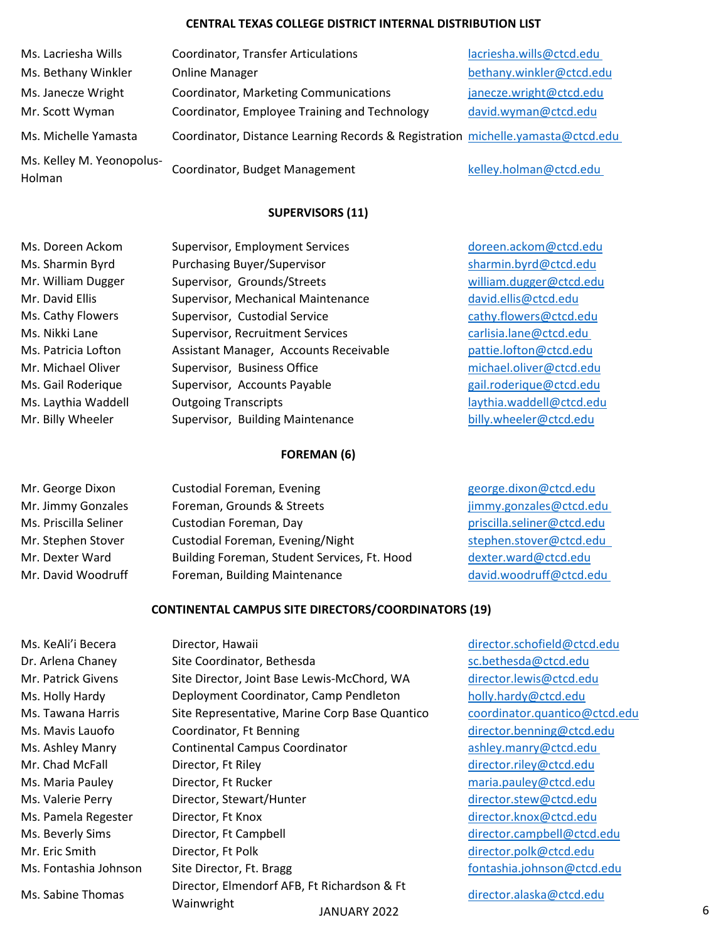| Ms. Lacriesha Wills                 | <b>Coordinator, Transfer Articulations</b>                                      | lacriesha.wills@ctcd.edu |
|-------------------------------------|---------------------------------------------------------------------------------|--------------------------|
| Ms. Bethany Winkler                 | <b>Online Manager</b>                                                           | bethany.winkler@ctcd.edu |
| Ms. Janecze Wright                  | Coordinator, Marketing Communications                                           | janecze.wright@ctcd.edu  |
| Mr. Scott Wyman                     | Coordinator, Employee Training and Technology                                   | david.wyman@ctcd.edu     |
| Ms. Michelle Yamasta                | Coordinator, Distance Learning Records & Registration michelle.yamasta@ctcd.edu |                          |
| Ms. Kelley M. Yeonopolus-<br>Holman | Coordinator, Budget Management                                                  | kelley.holman@ctcd.edu   |

### **SUPERVISORS (11)**

| Ms. Doreen Ackom    |
|---------------------|
| Ms. Sharmin Byrd    |
| Mr. William Dugger  |
| Mr. David Ellis     |
| Ms. Cathy Flowers   |
| Ms. Nikki Lane      |
| Ms. Patricia Lofton |
| Mr. Michael Oliver  |
| Ms. Gail Roderique  |
| Ms. Laythia Waddell |
| Mr. Billy Wheeler   |

Supervisor, Employment Services [doreen.ackom@ctcd.edu](mailto:doreen.ackom@ctcd.edu) Purchasing Buyer/Supervisor [sharmin.byrd@ctcd.edu](mailto:sharmin.byrd@ctcd.edu) Supervisor, Grounds/Streets [william.dugger@ctcd.edu](mailto:William.Dugger@ctcd.edu) Supervisor, Mechanical Maintenance [david.ellis@ctcd.edu](mailto:david.ellis@ctcd.edu) Supervisor, Custodial Service [cathy.flowers@ctcd.edu](mailto:cathy.flowers@ctcd.edu) Supervisor, Recruitment Services carlisia.lane@ctcd.edu Assistant Manager, Accounts Receivable entitled by [pattie.lofton@ctcd.edu](mailto:pattie.lofton@ctcd.edu) Supervisor, Business Office [michael.oliver@ctcd.edu](mailto:Michael.Oliver@ctcd.edu) Supervisor, Accounts Payable entity and [gail.roderique@ctcd.edu](mailto:gail.roderique@ctcd.edu) Outgoing Transcripts laythia Waddell@ctcd.edu Supervisor, Building Maintenance [billy.wheeler@ctcd.edu](mailto:billy.wheeler@ctcd.edu)

#### **FOREMAN (6)**

| Mr. George Dixon      | <b>Custodial Foreman, Evening</b>            | george.dixon@ctcd.edu      |
|-----------------------|----------------------------------------------|----------------------------|
| Mr. Jimmy Gonzales    | Foreman, Grounds & Streets                   | jimmy.gonzales@ctcd.edu    |
| Ms. Priscilla Seliner | Custodian Foreman, Day                       | priscilla.seliner@ctcd.edu |
| Mr. Stephen Stover    | Custodial Foreman, Evening/Night             | stephen.stover@ctcd.edu    |
| Mr. Dexter Ward       | Building Foreman, Student Services, Ft. Hood | dexter.ward@ctcd.edu       |
| Mr. David Woodruff    | Foreman, Building Maintenance                | david.woodruff@ctcd.edu    |
|                       |                                              |                            |

#### **CONTINENTAL CAMPUS SITE DIRECTORS/COORDINATORS (19)**

JANUARY 2022 6 Dr. Arlena Chaney Site Coordinator, Bethesda [sc.bethesda@ctcd.edu](mailto:sc.bethesda@ctcd.edu) Mr. Patrick Givens Site Director, Joint Base Lewis-McChord, WA [director.lewis@ctcd.edu](mailto:director.lewis@ctcd.edu) Ms. Holly Hardy **Deployment Coordinator, Camp Pendleton** [holly.hardy@ctcd.edu](mailto:holly.hardy@ctcd.edu) Ms. Tawana Harris Site Representative, Marine Corp Base Quantico [coordinator.quantico@ctcd.edu](mailto:coordinator.quantico@ctcd.edu) Ms. Mavis Lauofo **Coordinator, Ft Benning Coordination** [director.benning@ctcd.edu](mailto:director.benning@ctcd.edu) Ms. Ashley Manry Continental Campus Coordinator ashley.manry@ctcd.edu Mr. Chad McFall **Director, Ft Riley Community Community** [director.riley@ctcd.edu](mailto:Director.Riley@ctcd.edu) Ms. Maria Pauley **Director, Ft Rucker [maria.pauley@ctcd.edu](mailto:maria.pauley@ctcd.edu)** maria.pauley@ctcd.edu Ms. Valerie Perry **Director, Stewart/Hunter** [director.stew@ctcd.edu](mailto:director.stew@ctcd.edu) Ms. Pamela Regester Director, Ft Knox [director.knox@ctcd.edu](mailto:director.knox@ctcd.edu) Ms. Beverly Sims Director, Ft Campbell Development [director.campbell@ctcd.edu](mailto:Director.Campbell@ctcd.edu) Mr. Eric Smith Director, Ft Polk [director.polk@ctcd.edu](mailto:Director.Polk@ctcd.edu) Ms. Fontashia Johnson Site Director, Ft. Bragg [fontashia.johnson@ctcd.edu](mailto:fontashia.johnson@ctcd.edu) Ms. Sabine Thomas Director, Elmendorf AFB, Ft Richardson & Ft<br>
Wainwright

Ms. KeAli'i Becera Director, Hawaii [director.schofield@ctcd.edu](mailto:Director.Schofield@ctcd.edu)

[director.alaska@ctcd.edu](mailto:director.alaska@ctcd.edu)